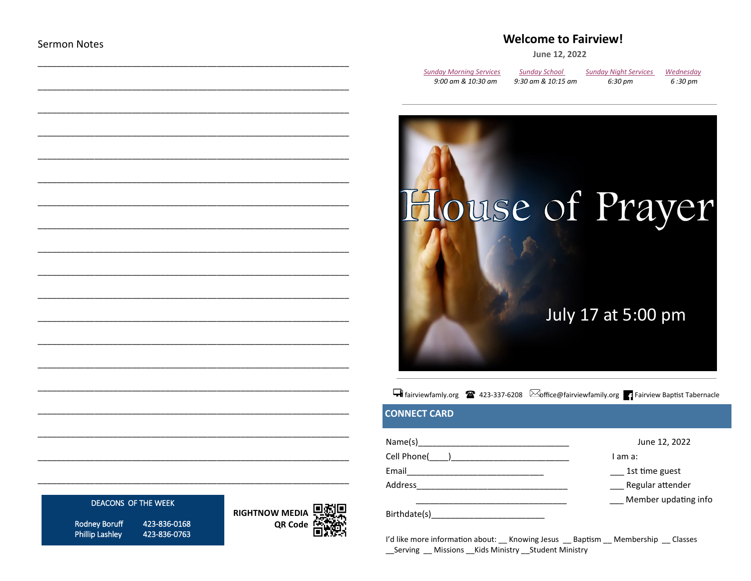# **Welcome to Fairview!**

June 12, 2022

| <b>Sunday Morning Services</b> | <b>Sunday School</b> | <b>Sunday Night Services</b> | Wednesday |
|--------------------------------|----------------------|------------------------------|-----------|
| 9:00 am & 10:30 am             | 9:30 am & 10:15 am   | 6:30 pm                      | 6 :30 pm  |



# Fairviewfamly.org <sup>2</sup> 423-337-6208 **Moffice**@fairviewfamily.org **Fairview Baptist Tabernacle**

# **CONNECT CARD**

| Name(s)      | June 12, 2022        |
|--------------|----------------------|
| Cell Phone(  | I am a:              |
| Email        | 1st time guest       |
| Address      | Regular attender     |
|              | Member updating info |
| Birthdate(s) |                      |

I'd like more information about: Knowing Jesus Baptism Membership Classes \_\_ Serving \_\_ Missions \_\_ Kids Ministry \_\_ Student Ministry

#### DEACONS OF THE WEEK

**Rodney Boruff Phillip Lashley** 

423-836-0168 423-836-0763